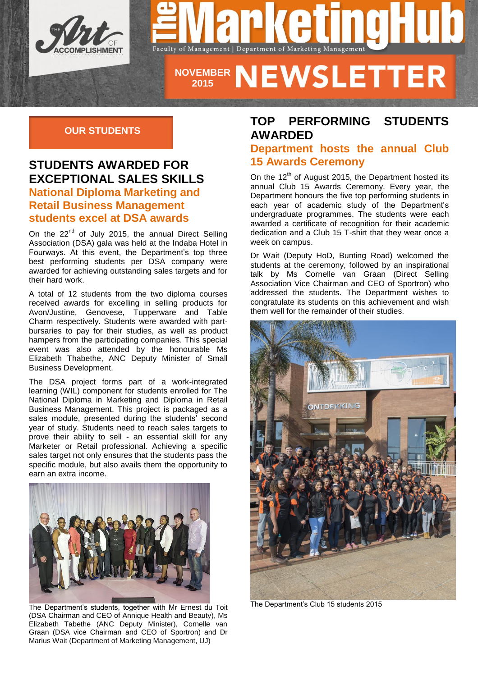



# **NOVEMBER 2015**

#### **OUR STUDENTS**

### **STUDENTS AWARDED FOR EXCEPTIONAL SALES SKILLS National Diploma Marketing and Retail Business Management students excel at DSA awards**

On the  $22^{nd}$  of July 2015, the annual Direct Selling Association (DSA) gala was held at the Indaba Hotel in Fourways. At this event, the Department's top three best performing students per DSA company were awarded for achieving outstanding sales targets and for their hard work.

A total of 12 students from the two diploma courses received awards for excelling in selling products for Avon/Justine, Genovese, Tupperware and Table Charm respectively. Students were awarded with partbursaries to pay for their studies, as well as product hampers from the participating companies. This special event was also attended by the honourable Ms Elizabeth Thabethe, ANC Deputy Minister of Small Business Development.

The DSA project forms part of a work-integrated learning (WIL) component for students enrolled for The National Diploma in Marketing and Diploma in Retail Business Management. This project is packaged as a sales module, presented during the students' second year of study. Students need to reach sales targets to prove their ability to sell - an essential skill for any Marketer or Retail professional. Achieving a specific sales target not only ensures that the students pass the specific module, but also avails them the opportunity to earn an extra income.  $\overline{\phantom{a}}$ 



The Department's students, together with Mr Ernest du Toit (DSA Chairman and CEO of Annique Health and Beauty), Ms Elizabeth Tabethe (ANC Deputy Minister), Cornelle van Graan (DSA vice Chairman and CEO of Sportron) and Dr Marius Wait (Department of Marketing Management, UJ)

### **TOP PERFORMING STUDENTS AWARDED**

#### **Department hosts the annual Club 15 Awards Ceremony**

On the  $12<sup>th</sup>$  of August 2015, the Department hosted its annual Club 15 Awards Ceremony. Every year, the Department honours the five top performing students in each year of academic study of the Department's undergraduate programmes. The students were each awarded a certificate of recognition for their academic dedication and a Club 15 T-shirt that they wear once a week on campus.

Dr Wait (Deputy HoD, Bunting Road) welcomed the students at the ceremony, followed by an inspirational talk by Ms Cornelle van Graan (Direct Selling Association Vice Chairman and CEO of Sportron) who addressed the students. The Department wishes to congratulate its students on this achievement and wish them well for the remainder of their studies.



The Department's Club 15 students 2015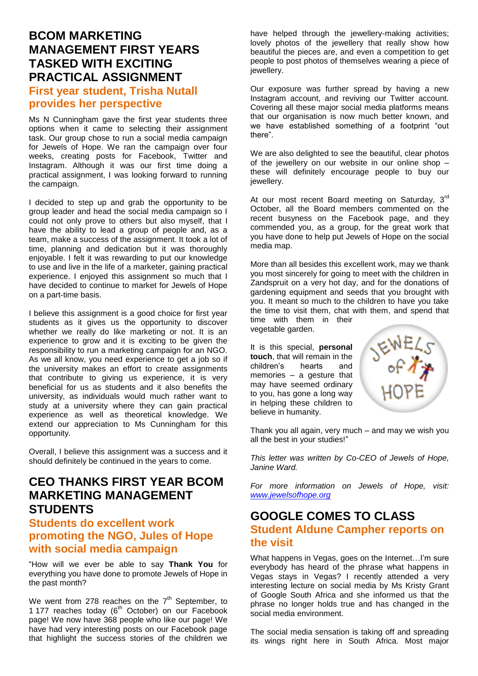### **BCOM MARKETING MANAGEMENT FIRST YEARS TASKED WITH EXCITING PRACTICAL ASSIGNMENT First year student, Trisha Nutall provides her perspective**

Ms N Cunningham gave the first year students three options when it came to selecting their assignment task. Our group chose to run a social media campaign for Jewels of Hope. We ran the campaign over four weeks, creating posts for Facebook, Twitter and Instagram. Although it was our first time doing a practical assignment, I was looking forward to running the campaign.

I decided to step up and grab the opportunity to be group leader and head the social media campaign so I could not only prove to others but also myself, that I have the ability to lead a group of people and, as a team, make a success of the assignment. It took a lot of time, planning and dedication but it was thoroughly enjoyable. I felt it was rewarding to put our knowledge to use and live in the life of a marketer, gaining practical experience. I enjoyed this assignment so much that I have decided to continue to market for Jewels of Hope on a part-time basis.

I believe this assignment is a good choice for first year students as it gives us the opportunity to discover whether we really do like marketing or not. It is an experience to grow and it is exciting to be given the responsibility to run a marketing campaign for an NGO. As we all know, you need experience to get a job so if the university makes an effort to create assignments that contribute to giving us experience, it is very beneficial for us as students and it also benefits the university, as individuals would much rather want to study at a university where they can gain practical experience as well as theoretical knowledge. We extend our appreciation to Ms Cunningham for this opportunity.

Overall, I believe this assignment was a success and it should definitely be continued in the years to come.

# **CEO THANKS FIRST YEAR BCOM MARKETING MANAGEMENT STUDENTS**

#### **Students do excellent work promoting the NGO, Jules of Hope with social media campaign**

"How will we ever be able to say **Thank You** for everything you have done to promote Jewels of Hope in the past month?

We went from 278 reaches on the  $7<sup>th</sup>$  September, to 1 177 reaches today ( $6<sup>th</sup>$  October) on our Facebook page! We now have 368 people who like our page! We have had very interesting posts on our Facebook page that highlight the success stories of the children we

have helped through the jewellery-making activities: lovely photos of the jewellery that really show how beautiful the pieces are, and even a competition to get people to post photos of themselves wearing a piece of jewellery.

Our exposure was further spread by having a new Instagram account, and reviving our Twitter account. Covering all these major social media platforms means that our organisation is now much better known, and we have established something of a footprint "out there".

We are also delighted to see the beautiful, clear photos of the jewellery on our website in our online shop – these will definitely encourage people to buy our jewellery.

At our most recent Board meeting on Saturday, 3<sup>rd</sup> October, all the Board members commented on the recent busyness on the Facebook page, and they commended you, as a group, for the great work that you have done to help put Jewels of Hope on the social media map.

More than all besides this excellent work, may we thank you most sincerely for going to meet with the children in Zandspruit on a very hot day, and for the donations of gardening equipment and seeds that you brought with you. It meant so much to the children to have you take the time to visit them, chat with them, and spend that time with them in their vegetable garden.

It is this special, **personal touch**, that will remain in the children's hearts and children's memories – a gesture that may have seemed ordinary to you, has gone a long way in helping these children to believe in humanity.



Thank you all again, very much – and may we wish you all the best in your studies!"

*This letter was written by Co-CEO of Jewels of Hope, Janine Ward.* 

*For more information on Jewels of Hope, visit: [www.jewelsofhope.org](http://www.jewelsofhope.org/)*

# **GOOGLE COMES TO CLASS**

#### **Student Aldune Campher reports on the visit**

What happens in Vegas, goes on the Internet…I'm sure everybody has heard of the phrase what happens in Vegas stays in Vegas? I recently attended a very interesting lecture on social media by Ms Kristy Grant of Google South Africa and she informed us that the phrase no longer holds true and has changed in the social media environment.

The social media sensation is taking off and spreading its wings right here in South Africa. Most major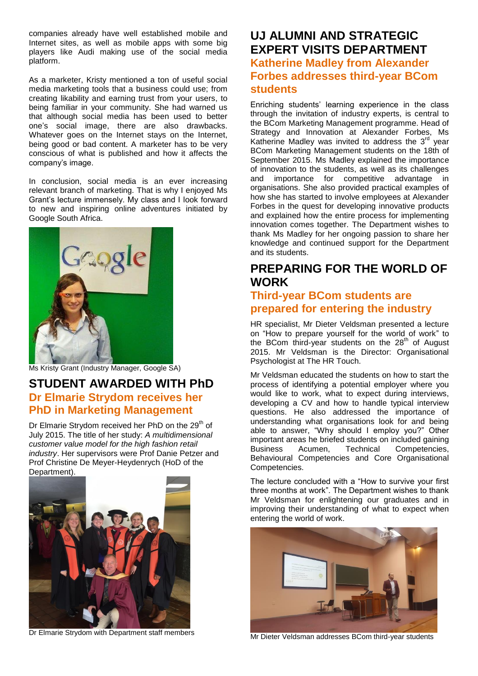companies already have well established mobile and Internet sites, as well as mobile apps with some big players like Audi making use of the social media platform.

As a marketer, Kristy mentioned a ton of useful social media marketing tools that a business could use; from creating likability and earning trust from your users, to being familiar in your community. She had warned us that although social media has been used to better one's social image, there are also drawbacks. Whatever goes on the Internet stays on the Internet, being good or bad content. A marketer has to be very conscious of what is published and how it affects the company's image.

In conclusion, social media is an ever increasing relevant branch of marketing. That is why I enjoyed Ms Grant's lecture immensely. My class and I look forward to new and inspiring online adventures initiated by Google South Africa.



Ms Kristy Grant (Industry Manager, Google SA)

### **STUDENT AWARDED WITH PhD Dr Elmarie Strydom receives her PhD in Marketing Management**

Dr Elmarie Strydom received her PhD on the  $29<sup>th</sup>$  of July 2015. The title of her study: *A multidimensional customer value model for the high fashion retail industry*. Her supervisors were Prof Danie Petzer and Prof Christine De Meyer-Heydenrych (HoD of the Department).



Dr Elmarie Strydom with Department staff members

### **UJ ALUMNI AND STRATEGIC EXPERT VISITS DEPARTMENT Katherine Madley from Alexander Forbes addresses third-year BCom students**

Enriching students' learning experience in the class through the invitation of industry experts, is central to the BCom Marketing Management programme. Head of Strategy and Innovation at Alexander Forbes, Ms Katherine Madley was invited to address the  $3<sup>rd</sup>$  year BCom Marketing Management students on the 18th of September 2015. Ms Madley explained the importance of innovation to the students, as well as its challenges and importance for competitive advantage in organisations. She also provided practical examples of how she has started to involve employees at Alexander Forbes in the quest for developing innovative products and explained how the entire process for implementing innovation comes together. The Department wishes to thank Ms Madley for her ongoing passion to share her knowledge and continued support for the Department and its students.

# **PREPARING FOR THE WORLD OF WORK**

#### **Third-year BCom students are prepared for entering the industry**

HR specialist, Mr Dieter Veldsman presented a lecture on "How to prepare yourself for the world of work" to the BCom third-year students on the 28<sup>th</sup> of August 2015. Mr Veldsman is the Director: Organisational Psychologist at The HR Touch.

Mr Veldsman educated the students on how to start the process of identifying a potential employer where you would like to work, what to expect during interviews, developing a CV and how to handle typical interview questions. He also addressed the importance of understanding what organisations look for and being able to answer, "Why should I employ you?" Other important areas he briefed students on included gaining Business Acumen, Technical Competencies, Behavioural Competencies and Core Organisational Competencies.

The lecture concluded with a "How to survive your first three months at work". The Department wishes to thank Mr Veldsman for enlightening our graduates and in improving their understanding of what to expect when entering the world of work.



Mr Dieter Veldsman addresses BCom third-year students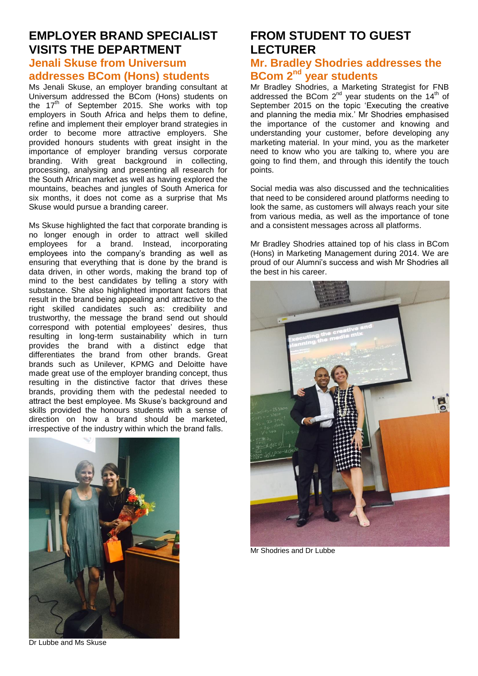#### **EMPLOYER BRAND SPECIALIST VISITS THE DEPARTMENT Jenali Skuse from Universum**

#### **addresses BCom (Hons) students**

Ms Jenali Skuse, an employer branding consultant at Universum addressed the BCom (Hons) students on the  $17<sup>th</sup>$  of September 2015. She works with top employers in South Africa and helps them to define, refine and implement their employer brand strategies in order to become more attractive employers. She provided honours students with great insight in the importance of employer branding versus corporate branding. With great background in collecting, processing, analysing and presenting all research for the South African market as well as having explored the mountains, beaches and jungles of South America for six months, it does not come as a surprise that Ms Skuse would pursue a branding career.

Ms Skuse highlighted the fact that corporate branding is no longer enough in order to attract well skilled employees for a brand. Instead, incorporating employees into the company's branding as well as ensuring that everything that is done by the brand is data driven, in other words, making the brand top of mind to the best candidates by telling a story with substance. She also highlighted important factors that result in the brand being appealing and attractive to the right skilled candidates such as: credibility and trustworthy, the message the brand send out should correspond with potential employees' desires, thus resulting in long-term sustainability which in turn provides the brand with a distinct edge that differentiates the brand from other brands. Great brands such as Unilever, KPMG and Deloitte have made great use of the employer branding concept, thus resulting in the distinctive factor that drives these brands, providing them with the pedestal needed to attract the best employee. Ms Skuse's background and skills provided the honours students with a sense of direction on how a brand should be marketed, irrespective of the industry within which the brand falls.



**FROM STUDENT TO GUEST LECTURER**

#### **Mr. Bradley Shodries addresses the BCom 2nd year students**

Mr Bradley Shodries, a Marketing Strategist for FNB addressed the BCom  $2^{nd}$  year students on the 14<sup>th</sup> of September 2015 on the topic 'Executing the creative and planning the media mix.' Mr Shodries emphasised the importance of the customer and knowing and understanding your customer, before developing any marketing material. In your mind, you as the marketer need to know who you are talking to, where you are going to find them, and through this identify the touch points.

Social media was also discussed and the technicalities that need to be considered around platforms needing to look the same, as customers will always reach your site from various media, as well as the importance of tone and a consistent messages across all platforms.

Mr Bradley Shodries attained top of his class in BCom (Hons) in Marketing Management during 2014. We are proud of our Alumni's success and wish Mr Shodries all the best in his career.



Mr Shodries and Dr Lubbe

Dr Lubbe and Ms Skuse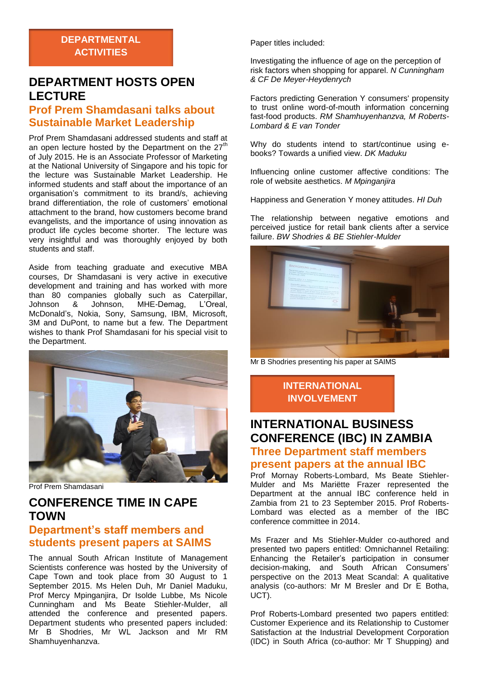### **DEPARTMENT HOSTS OPEN LECTURE**

#### **Prof Prem Shamdasani talks about Sustainable Market Leadership**

Prof Prem Shamdasani addressed students and staff at an open lecture hosted by the Department on the  $27<sup>th</sup>$ of July 2015. He is an Associate Professor of Marketing at the National University of Singapore and his topic for the lecture was Sustainable Market Leadership. He informed students and staff about the importance of an organisation's commitment to its brand/s, achieving brand differentiation, the role of customers' emotional attachment to the brand, how customers become brand evangelists, and the importance of using innovation as product life cycles become shorter. The lecture was very insightful and was thoroughly enjoyed by both students and staff.

Aside from teaching graduate and executive MBA courses, Dr Shamdasani is very active in executive development and training and has worked with more than 80 companies globally such as Caterpillar,<br>Johnson & Johnson. MHE-Demag. L'Oreal. MHE-Demag, McDonald's, Nokia, Sony, Samsung, IBM, Microsoft, 3M and DuPont, to name but a few. The Department wishes to thank Prof Shamdasani for his special visit to the Department.



Prof Prem Shamdasani

# **CONFERENCE TIME IN CAPE TOWN**

#### **Department's staff members and students present papers at SAIMS**

The annual South African Institute of Management Scientists conference was hosted by the University of Cape Town and took place from 30 August to 1 September 2015. Ms Helen Duh, Mr Daniel Maduku, Prof Mercy Mpinganjira, Dr Isolde Lubbe, Ms Nicole Cunningham and Ms Beate Stiehler-Mulder, all attended the conference and presented papers. Department students who presented papers included: Mr B Shodries, Mr WL Jackson and Mr RM Shamhuyenhanzva.

Paper titles included:

Investigating the influence of age on the perception of risk factors when shopping for apparel. *N Cunningham & CF De Meyer-Heydenrych*

Factors predicting Generation Y consumers' propensity to trust online word-of-mouth information concerning fast-food products. *RM Shamhuyenhanzva, M Roberts-Lombard & E van Tonder*

Why do students intend to start/continue using ebooks? Towards a unified view. *DK Maduku*

Influencing online customer affective conditions: The role of website aesthetics. *M Mpinganjira*

Happiness and Generation Y money attitudes. *HI Duh*

The relationship between negative emotions and perceived justice for retail bank clients after a service failure. *BW Shodries & BE Stiehler-Mulder*



Mr B Shodries presenting his paper at SAIMS

**INTERNATIONAL INVOLVEMENT**

# **INTERNATIONAL BUSINESS CONFERENCE (IBC) IN ZAMBIA Three Department staff members**

#### **present papers at the annual IBC**

Prof Mornay Roberts-Lombard, Ms Beate Stiehler-Mulder and Ms Mariëtte Frazer represented the Department at the annual IBC conference held in Zambia from 21 to 23 September 2015. Prof Roberts-Lombard was elected as a member of the IBC conference committee in 2014.

Ms Frazer and Ms Stiehler-Mulder co-authored and presented two papers entitled: Omnichannel Retailing: Enhancing the Retailer's participation in consumer decision-making, and South African Consumers' perspective on the 2013 Meat Scandal: A qualitative analysis (co-authors: Mr M Bresler and Dr E Botha, UCT).

Prof Roberts-Lombard presented two papers entitled: Customer Experience and its Relationship to Customer Satisfaction at the Industrial Development Corporation (IDC) in South Africa (co-author: Mr T Shupping) and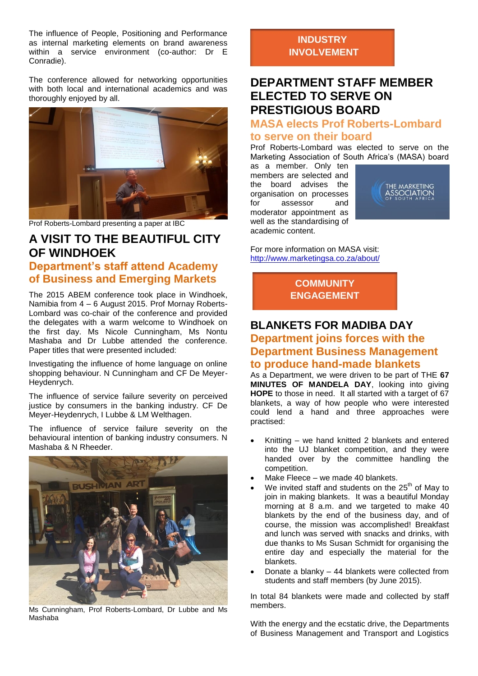The influence of People, Positioning and Performance as internal marketing elements on brand awareness within a service environment (co-author: Dr E Conradie).

The conference allowed for networking opportunities with both local and international academics and was thoroughly enjoyed by all.



Prof Roberts-Lombard presenting a paper at IBC

# **A VISIT TO THE BEAUTIFUL CITY OF WINDHOEK**

#### **Department's staff attend Academy of Business and Emerging Markets**

The 2015 ABEM conference took place in Windhoek, Namibia from 4 – 6 August 2015. Prof Mornay Roberts-Lombard was co-chair of the conference and provided the delegates with a warm welcome to Windhoek on the first day. Ms Nicole Cunningham, Ms Nontu Mashaba and Dr Lubbe attended the conference. Paper titles that were presented included:

Investigating the influence of home language on online shopping behaviour. N Cunningham and CF De Meyer-Heydenrych.

The influence of service failure severity on perceived justice by consumers in the banking industry. CF De Meyer-Heydenrych, I Lubbe & LM Welthagen.

The influence of service failure severity on the behavioural intention of banking industry consumers. N Mashaba & N Rheeder.



Ms Cunningham, Prof Roberts-Lombard, Dr Lubbe and Ms Mashaba

#### **INDUSTRY INVOLVEMENT**

### **DEPARTMENT STAFF MEMBER ELECTED TO SERVE ON PRESTIGIOUS BOARD**

#### **MASA elects Prof Roberts-Lombard to serve on their board**

Prof Roberts-Lombard was elected to serve on the Marketing Association of South Africa's (MASA) board

as a member. Only ten members are selected and the board advises the organisation on processes for assessor and moderator appointment as well as the standardising of academic content.



For more information on MASA visit: <http://www.marketingsa.co.za/about/>

> **COMMUNITY ENGAGEMENT**

### **BLANKETS FOR MADIBA DAY Department joins forces with the Department Business Management**

#### **to produce hand-made blankets**

As a Department, we were driven to be part of THE **67 MINUTES OF MANDELA DAY**, looking into giving **HOPE** to those in need. It all started with a target of 67 blankets, a way of how people who were interested could lend a hand and three approaches were practised:

- Knitting we hand knitted 2 blankets and entered into the UJ blanket competition, and they were handed over by the committee handling the competition.
- Make Fleece we made 40 blankets.
- We invited staff and students on the  $25<sup>th</sup>$  of May to join in making blankets. It was a beautiful Monday morning at 8 a.m. and we targeted to make 40 blankets by the end of the business day, and of course, the mission was accomplished! Breakfast and lunch was served with snacks and drinks, with due thanks to Ms Susan Schmidt for organising the entire day and especially the material for the blankets.
- Donate a blanky 44 blankets were collected from students and staff members (by June 2015).

In total 84 blankets were made and collected by staff members.

With the energy and the ecstatic drive, the Departments of Business Management and Transport and Logistics